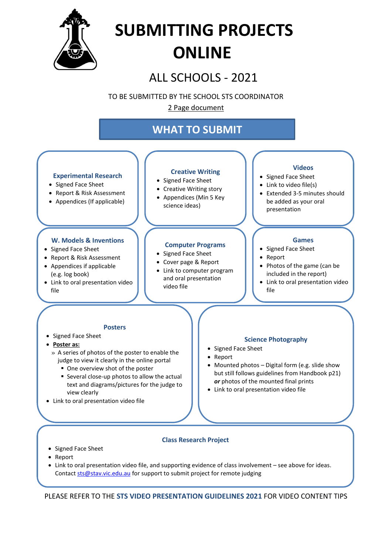

## **SUBMITTING PROJECTS ONLINE**

ALL SCHOOLS - 2021

TO BE SUBMITTED BY THE SCHOOL STS COORDINATOR

2 Page document

## **WHAT TO SUBMIT**



- Report
- Link to oral presentation video file, and supporting evidence of class involvement see above for ideas. Contac[t sts@stav.vic.edu.au](mailto:sts@stav.vic.edu.au) for support to submit project for remote judging

PLEASE REFER TO THE **STS VIDEO PRESENTATION GUIDELINES 2021** FOR VIDEO CONTENT TIPS